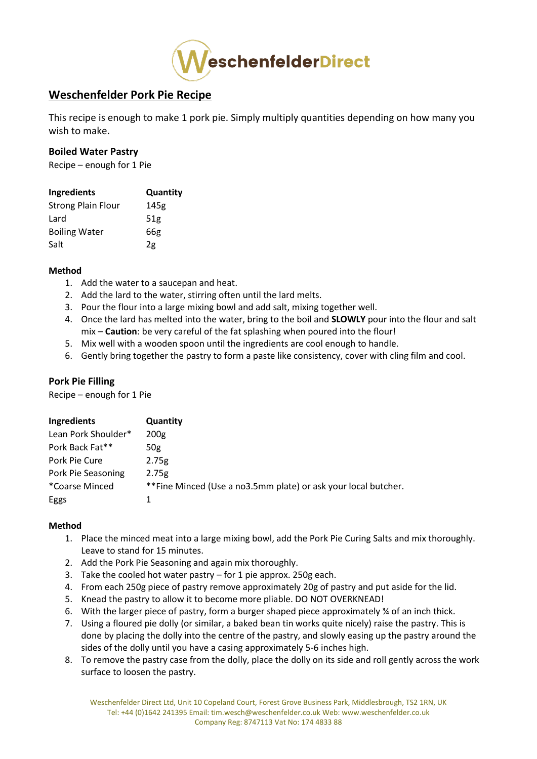

# **Weschenfelder Pork Pie Recipe**

This recipe is enough to make 1 pork pie. Simply multiply quantities depending on how many you wish to make.

### **Boiled Water Pastry**

Recipe – enough for 1 Pie

| Ingredients               | Quantity        |
|---------------------------|-----------------|
| <b>Strong Plain Flour</b> | 145g            |
| Lard                      | 51 <sub>g</sub> |
| <b>Boiling Water</b>      | 66g             |
| Salt                      | 2g              |

#### **Method**

- 1. Add the water to a saucepan and heat.
- 2. Add the lard to the water, stirring often until the lard melts.
- 3. Pour the flour into a large mixing bowl and add salt, mixing together well.
- 4. Once the lard has melted into the water, bring to the boil and **SLOWLY** pour into the flour and salt mix – **Caution**: be very careful of the fat splashing when poured into the flour!
- 5. Mix well with a wooden spoon until the ingredients are cool enough to handle.
- 6. Gently bring together the pastry to form a paste like consistency, cover with cling film and cool.

# **Pork Pie Filling**

Recipe – enough for 1 Pie

| Ingredients         | <b>Quantity</b>                                                |
|---------------------|----------------------------------------------------------------|
| Lean Pork Shoulder* | 200 <sub>g</sub>                                               |
| Pork Back Fat**     | 50g                                                            |
| Pork Pie Cure       | 2.75g                                                          |
| Pork Pie Seasoning  | 2.75g                                                          |
| *Coarse Minced      | **Fine Minced (Use a no3.5mm plate) or ask your local butcher. |
| Eggs                |                                                                |

### **Method**

- 1. Place the minced meat into a large mixing bowl, add the Pork Pie Curing Salts and mix thoroughly. Leave to stand for 15 minutes.
- 2. Add the Pork Pie Seasoning and again mix thoroughly.
- 3. Take the cooled hot water pastry for 1 pie approx. 250g each.
- 4. From each 250g piece of pastry remove approximately 20g of pastry and put aside for the lid.
- 5. Knead the pastry to allow it to become more pliable. DO NOT OVERKNEAD!
- 6. With the larger piece of pastry, form a burger shaped piece approximately ¾ of an inch thick.
- 7. Using a floured pie dolly (or similar, a baked bean tin works quite nicely) raise the pastry. This is done by placing the dolly into the centre of the pastry, and slowly easing up the pastry around the sides of the dolly until you have a casing approximately 5-6 inches high.
- 8. To remove the pastry case from the dolly, place the dolly on its side and roll gently across the work surface to loosen the pastry.